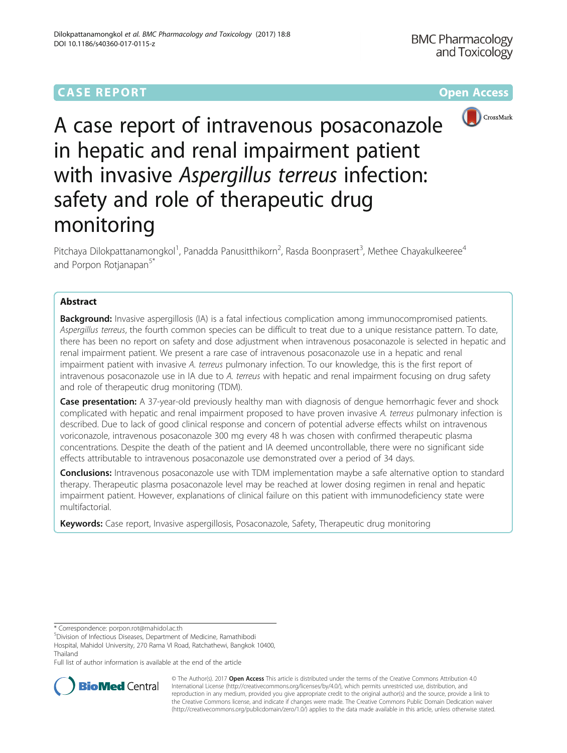# **CASE REPORT CASE REPORT CASE REPORT**



A case report of intravenous posaconazole in hepatic and renal impairment patient with invasive Aspergillus terreus infection: safety and role of therapeutic drug monitoring

Pitchaya Dilokpattanamongkol<sup>1</sup>, Panadda Panusitthikorn<sup>2</sup>, Rasda Boonprasert<sup>3</sup>, Methee Chayakulkeeree<sup>4</sup> and Porpon Rotjanapan<sup>5\*</sup>

## Abstract

**Background:** Invasive aspergillosis (IA) is a fatal infectious complication among immunocompromised patients. Aspergillus terreus, the fourth common species can be difficult to treat due to a unique resistance pattern. To date, there has been no report on safety and dose adjustment when intravenous posaconazole is selected in hepatic and renal impairment patient. We present a rare case of intravenous posaconazole use in a hepatic and renal impairment patient with invasive A. terreus pulmonary infection. To our knowledge, this is the first report of intravenous posaconazole use in IA due to A. terreus with hepatic and renal impairment focusing on drug safety and role of therapeutic drug monitoring (TDM).

**Case presentation:** A 37-year-old previously healthy man with diagnosis of dengue hemorrhagic fever and shock complicated with hepatic and renal impairment proposed to have proven invasive A. terreus pulmonary infection is described. Due to lack of good clinical response and concern of potential adverse effects whilst on intravenous voriconazole, intravenous posaconazole 300 mg every 48 h was chosen with confirmed therapeutic plasma concentrations. Despite the death of the patient and IA deemed uncontrollable, there were no significant side effects attributable to intravenous posaconazole use demonstrated over a period of 34 days.

**Conclusions:** Intravenous posaconazole use with TDM implementation maybe a safe alternative option to standard therapy. Therapeutic plasma posaconazole level may be reached at lower dosing regimen in renal and hepatic impairment patient. However, explanations of clinical failure on this patient with immunodeficiency state were multifactorial.

Keywords: Case report, Invasive aspergillosis, Posaconazole, Safety, Therapeutic drug monitoring

\* Correspondence: [porpon.rot@mahidol.ac.th](mailto:porpon.rot@mahidol.ac.th) <sup>5</sup>

Division of Infectious Diseases, Department of Medicine, Ramathibodi

Hospital, Mahidol University, 270 Rama VI Road, Ratchathewi, Bangkok 10400, Thailand

Full list of author information is available at the end of the article



© The Author(s). 2017 **Open Access** This article is distributed under the terms of the Creative Commons Attribution 4.0 International License [\(http://creativecommons.org/licenses/by/4.0/](http://creativecommons.org/licenses/by/4.0/)), which permits unrestricted use, distribution, and reproduction in any medium, provided you give appropriate credit to the original author(s) and the source, provide a link to the Creative Commons license, and indicate if changes were made. The Creative Commons Public Domain Dedication waiver [\(http://creativecommons.org/publicdomain/zero/1.0/](http://creativecommons.org/publicdomain/zero/1.0/)) applies to the data made available in this article, unless otherwise stated.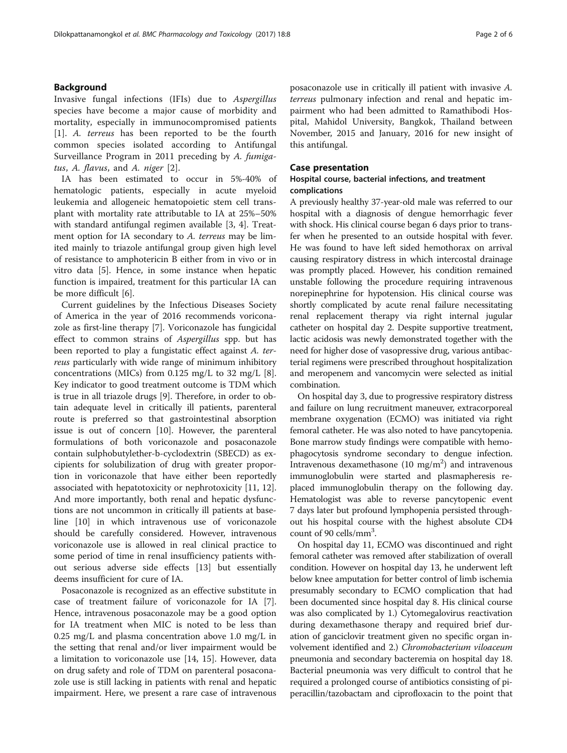## Background

Invasive fungal infections (IFIs) due to Aspergillus species have become a major cause of morbidity and mortality, especially in immunocompromised patients [[1\]](#page-4-0). A. terreus has been reported to be the fourth common species isolated according to Antifungal Surveillance Program in 2011 preceding by A. fumigatus, A. flavus, and A. niger [[2\]](#page-4-0).

IA has been estimated to occur in 5%-40% of hematologic patients, especially in acute myeloid leukemia and allogeneic hematopoietic stem cell transplant with mortality rate attributable to IA at 25%–50% with standard antifungal regimen available [\[3](#page-4-0), [4\]](#page-4-0). Treatment option for IA secondary to A. terreus may be limited mainly to triazole antifungal group given high level of resistance to amphotericin B either from in vivo or in vitro data [\[5](#page-4-0)]. Hence, in some instance when hepatic function is impaired, treatment for this particular IA can be more difficult [\[6\]](#page-4-0).

Current guidelines by the Infectious Diseases Society of America in the year of 2016 recommends voriconazole as first-line therapy [[7\]](#page-4-0). Voriconazole has fungicidal effect to common strains of Aspergillus spp. but has been reported to play a fungistatic effect against A. terreus particularly with wide range of minimum inhibitory concentrations (MICs) from 0.125 mg/L to 32 mg/L [\[8](#page-4-0)]. Key indicator to good treatment outcome is TDM which is true in all triazole drugs [[9\]](#page-4-0). Therefore, in order to obtain adequate level in critically ill patients, parenteral route is preferred so that gastrointestinal absorption issue is out of concern [\[10\]](#page-4-0). However, the parenteral formulations of both voriconazole and posaconazole contain sulphobutylether-b-cyclodextrin (SBECD) as excipients for solubilization of drug with greater proportion in voriconazole that have either been reportedly associated with hepatotoxicity or nephrotoxicity [\[11](#page-5-0), [12](#page-5-0)]. And more importantly, both renal and hepatic dysfunctions are not uncommon in critically ill patients at baseline [[10\]](#page-4-0) in which intravenous use of voriconazole should be carefully considered. However, intravenous voriconazole use is allowed in real clinical practice to some period of time in renal insufficiency patients without serious adverse side effects [[13\]](#page-5-0) but essentially deems insufficient for cure of IA.

Posaconazole is recognized as an effective substitute in case of treatment failure of voriconazole for IA [\[7](#page-4-0)]. Hence, intravenous posaconazole may be a good option for IA treatment when MIC is noted to be less than 0.25 mg/L and plasma concentration above 1.0 mg/L in the setting that renal and/or liver impairment would be a limitation to voriconazole use [[14](#page-5-0), [15](#page-5-0)]. However, data on drug safety and role of TDM on parenteral posaconazole use is still lacking in patients with renal and hepatic impairment. Here, we present a rare case of intravenous posaconazole use in critically ill patient with invasive A. terreus pulmonary infection and renal and hepatic impairment who had been admitted to Ramathibodi Hospital, Mahidol University, Bangkok, Thailand between November, 2015 and January, 2016 for new insight of this antifungal.

### Case presentation

## Hospital course, bacterial infections, and treatment complications

A previously healthy 37-year-old male was referred to our hospital with a diagnosis of dengue hemorrhagic fever with shock. His clinical course began 6 days prior to transfer when he presented to an outside hospital with fever. He was found to have left sided hemothorax on arrival causing respiratory distress in which intercostal drainage was promptly placed. However, his condition remained unstable following the procedure requiring intravenous norepinephrine for hypotension. His clinical course was shortly complicated by acute renal failure necessitating renal replacement therapy via right internal jugular catheter on hospital day 2. Despite supportive treatment, lactic acidosis was newly demonstrated together with the need for higher dose of vasopressive drug, various antibacterial regimens were prescribed throughout hospitalization and meropenem and vancomycin were selected as initial combination.

On hospital day 3, due to progressive respiratory distress and failure on lung recruitment maneuver, extracorporeal membrane oxygenation (ECMO) was initiated via right femoral catheter. He was also noted to have pancytopenia. Bone marrow study findings were compatible with hemophagocytosis syndrome secondary to dengue infection. Intravenous dexamethasone  $(10 \text{ mg/m}^2)$  and intravenous immunoglobulin were started and plasmapheresis replaced immunoglobulin therapy on the following day. Hematologist was able to reverse pancytopenic event 7 days later but profound lymphopenia persisted throughout his hospital course with the highest absolute CD4 count of 90 cells/mm<sup>3</sup>.

On hospital day 11, ECMO was discontinued and right femoral catheter was removed after stabilization of overall condition. However on hospital day 13, he underwent left below knee amputation for better control of limb ischemia presumably secondary to ECMO complication that had been documented since hospital day 8. His clinical course was also complicated by 1.) Cytomegalovirus reactivation during dexamethasone therapy and required brief duration of ganciclovir treatment given no specific organ involvement identified and 2.) Chromobacterium viloaceum pneumonia and secondary bacteremia on hospital day 18. Bacterial pneumonia was very difficult to control that he required a prolonged course of antibiotics consisting of piperacillin/tazobactam and ciprofloxacin to the point that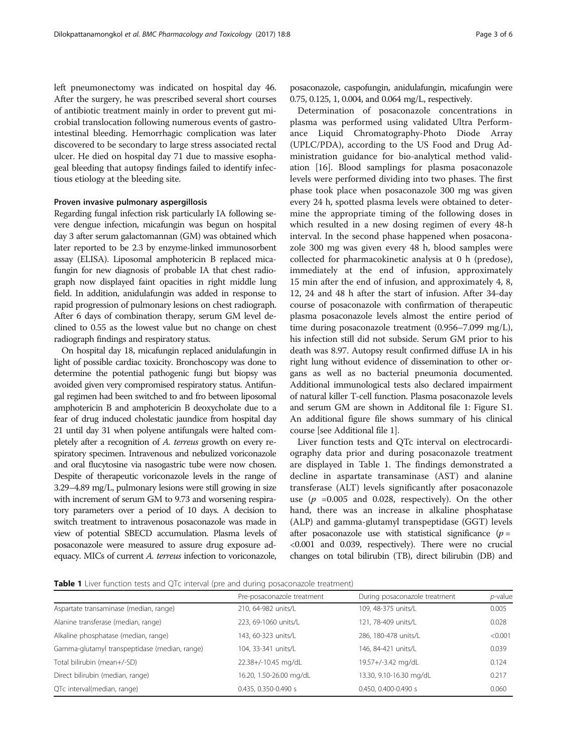left pneumonectomy was indicated on hospital day 46. After the surgery, he was prescribed several short courses of antibiotic treatment mainly in order to prevent gut microbial translocation following numerous events of gastrointestinal bleeding. Hemorrhagic complication was later discovered to be secondary to large stress associated rectal ulcer. He died on hospital day 71 due to massive esophageal bleeding that autopsy findings failed to identify infectious etiology at the bleeding site.

#### Proven invasive pulmonary aspergillosis

Regarding fungal infection risk particularly IA following severe dengue infection, micafungin was begun on hospital day 3 after serum galactomannan (GM) was obtained which later reported to be 2.3 by enzyme-linked immunosorbent assay (ELISA). Liposomal amphotericin B replaced micafungin for new diagnosis of probable IA that chest radiograph now displayed faint opacities in right middle lung field. In addition, anidulafungin was added in response to rapid progression of pulmonary lesions on chest radiograph. After 6 days of combination therapy, serum GM level declined to 0.55 as the lowest value but no change on chest radiograph findings and respiratory status.

On hospital day 18, micafungin replaced anidulafungin in light of possible cardiac toxicity. Bronchoscopy was done to determine the potential pathogenic fungi but biopsy was avoided given very compromised respiratory status. Antifungal regimen had been switched to and fro between liposomal amphotericin B and amphotericin B deoxycholate due to a fear of drug induced cholestatic jaundice from hospital day 21 until day 31 when polyene antifungals were halted completely after a recognition of A. terreus growth on every respiratory specimen. Intravenous and nebulized voriconazole and oral flucytosine via nasogastric tube were now chosen. Despite of therapeutic voriconazole levels in the range of 3.29–4.89 mg/L, pulmonary lesions were still growing in size with increment of serum GM to 9.73 and worsening respiratory parameters over a period of 10 days. A decision to switch treatment to intravenous posaconazole was made in view of potential SBECD accumulation. Plasma levels of posaconazole were measured to assure drug exposure adequacy. MICs of current A. terreus infection to voriconazole, posaconazole, caspofungin, anidulafungin, micafungin were 0.75, 0.125, 1, 0.004, and 0.064 mg/L, respectively.

Determination of posaconazole concentrations in plasma was performed using validated Ultra Performance Liquid Chromatography-Photo Diode Array (UPLC/PDA), according to the US Food and Drug Administration guidance for bio-analytical method validation [[16](#page-5-0)]. Blood samplings for plasma posaconazole levels were performed dividing into two phases. The first phase took place when posaconazole 300 mg was given every 24 h, spotted plasma levels were obtained to determine the appropriate timing of the following doses in which resulted in a new dosing regimen of every 48-h interval. In the second phase happened when posaconazole 300 mg was given every 48 h, blood samples were collected for pharmacokinetic analysis at 0 h (predose), immediately at the end of infusion, approximately 15 min after the end of infusion, and approximately 4, 8, 12, 24 and 48 h after the start of infusion. After 34-day course of posaconazole with confirmation of therapeutic plasma posaconazole levels almost the entire period of time during posaconazole treatment (0.956–7.099 mg/L), his infection still did not subside. Serum GM prior to his death was 8.97. Autopsy result confirmed diffuse IA in his right lung without evidence of dissemination to other organs as well as no bacterial pneumonia documented. Additional immunological tests also declared impairment of natural killer T-cell function. Plasma posaconazole levels and serum GM are shown in Additonal file [1](#page-4-0): Figure S1. An additional figure file shows summary of his clinical course [see Additional file [1](#page-4-0)].

Liver function tests and QTc interval on electrocardiography data prior and during posaconazole treatment are displayed in Table 1. The findings demonstrated a decline in aspartate transaminase (AST) and alanine transferase (ALT) levels significantly after posaconazole use ( $p = 0.005$  and 0.028, respectively). On the other hand, there was an increase in alkaline phosphatase (ALP) and gamma-glutamyl transpeptidase (GGT) levels after posaconazole use with statistical significance  $(p =$ <0.001 and 0.039, respectively). There were no crucial changes on total bilirubin (TB), direct bilirubin (DB) and

**Table 1** Liver function tests and QTc interval (pre and during posaconazole treatment)

|                                               | Pre-posaconazole treatment | During posaconazole treatment | <i>p</i> -value |
|-----------------------------------------------|----------------------------|-------------------------------|-----------------|
| Aspartate transaminase (median, range)        | 210, 64-982 units/L        | 109, 48-375 units/L           | 0.005           |
| Alanine transferase (median, range)           | 223, 69-1060 units/L       | 121, 78-409 units/L           | 0.028           |
| Alkaline phosphatase (median, range)          | 143, 60-323 units/L        | 286, 180-478 units/L          | < 0.001         |
| Gamma-glutamyl transpeptidase (median, range) | 104, 33-341 units/L        | 146, 84-421 units/L           | 0.039           |
| Total bilirubin (mean+/-SD)                   | 22.38+/-10.45 mg/dL        | 19.57+/-3.42 mg/dL            | 0.124           |
| Direct bilirubin (median, range)              | 16.20, 1.50-26.00 mg/dL    | 13.30, 9.10-16.30 mg/dL       | 0.217           |
| QTc interval(median, range)                   | 0.435, 0.350-0.490 s       | 0.450, 0.400-0.490 s          | 0.060           |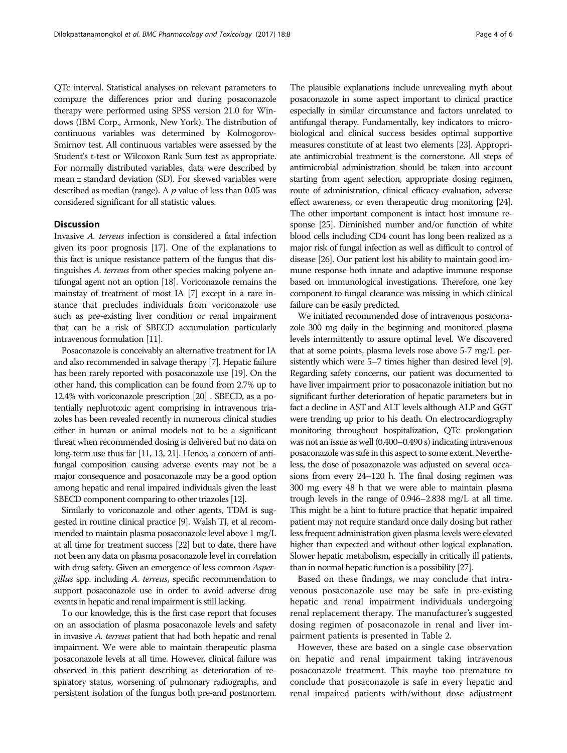QTc interval. Statistical analyses on relevant parameters to compare the differences prior and during posaconazole therapy were performed using SPSS version 21.0 for Windows (IBM Corp., Armonk, New York). The distribution of continuous variables was determined by Kolmogorov-Smirnov test. All continuous variables were assessed by the Student's t-test or Wilcoxon Rank Sum test as appropriate. For normally distributed variables, data were described by mean ± standard deviation (SD). For skewed variables were described as median (range). A  $p$  value of less than 0.05 was considered significant for all statistic values.

## **Discussion**

Invasive A. terreus infection is considered a fatal infection given its poor prognosis [[17](#page-5-0)]. One of the explanations to this fact is unique resistance pattern of the fungus that distinguishes A. terreus from other species making polyene antifungal agent not an option [[18\]](#page-5-0). Voriconazole remains the mainstay of treatment of most IA [\[7\]](#page-4-0) except in a rare instance that precludes individuals from voriconazole use such as pre-existing liver condition or renal impairment that can be a risk of SBECD accumulation particularly intravenous formulation [[11\]](#page-5-0).

Posaconazole is conceivably an alternative treatment for IA and also recommended in salvage therapy [\[7\]](#page-4-0). Hepatic failure has been rarely reported with posaconazole use [\[19\]](#page-5-0). On the other hand, this complication can be found from 2.7% up to 12.4% with voriconazole prescription [\[20\]](#page-5-0) . SBECD, as a potentially nephrotoxic agent comprising in intravenous triazoles has been revealed recently in numerous clinical studies either in human or animal models not to be a significant threat when recommended dosing is delivered but no data on long-term use thus far [\[11](#page-5-0), [13](#page-5-0), [21](#page-5-0)]. Hence, a concern of antifungal composition causing adverse events may not be a major consequence and posaconazole may be a good option among hepatic and renal impaired individuals given the least SBECD component comparing to other triazoles [\[12](#page-5-0)].

Similarly to voriconazole and other agents, TDM is suggested in routine clinical practice [\[9\]](#page-4-0). Walsh TJ, et al recommended to maintain plasma posaconazole level above 1 mg/L at all time for treatment success [\[22\]](#page-5-0) but to date, there have not been any data on plasma posaconazole level in correlation with drug safety. Given an emergence of less common Aspergillus spp. including A. terreus, specific recommendation to support posaconazole use in order to avoid adverse drug events in hepatic and renal impairment is still lacking.

To our knowledge, this is the first case report that focuses on an association of plasma posaconazole levels and safety in invasive A. terreus patient that had both hepatic and renal impairment. We were able to maintain therapeutic plasma posaconazole levels at all time. However, clinical failure was observed in this patient describing as deterioration of respiratory status, worsening of pulmonary radiographs, and persistent isolation of the fungus both pre-and postmortem.

The plausible explanations include unrevealing myth about posaconazole in some aspect important to clinical practice especially in similar circumstance and factors unrelated to antifungal therapy. Fundamentally, key indicators to microbiological and clinical success besides optimal supportive measures constitute of at least two elements [\[23\]](#page-5-0). Appropriate antimicrobial treatment is the cornerstone. All steps of antimicrobial administration should be taken into account starting from agent selection, appropriate dosing regimen, route of administration, clinical efficacy evaluation, adverse effect awareness, or even therapeutic drug monitoring [\[24\]](#page-5-0). The other important component is intact host immune response [\[25](#page-5-0)]. Diminished number and/or function of white blood cells including CD4 count has long been realized as a major risk of fungal infection as well as difficult to control of disease [\[26](#page-5-0)]. Our patient lost his ability to maintain good immune response both innate and adaptive immune response based on immunological investigations. Therefore, one key component to fungal clearance was missing in which clinical failure can be easily predicted.

We initiated recommended dose of intravenous posaconazole 300 mg daily in the beginning and monitored plasma levels intermittently to assure optimal level. We discovered that at some points, plasma levels rose above 5-7 mg/L persistently which were 5–7 times higher than desired level [\[9\]](#page-4-0). Regarding safety concerns, our patient was documented to have liver impairment prior to posaconazole initiation but no significant further deterioration of hepatic parameters but in fact a decline in AST and ALT levels although ALP and GGT were trending up prior to his death. On electrocardiography monitoring throughout hospitalization, QTc prolongation was not an issue as well (0.400–0.490 s) indicating intravenous posaconazole was safe in this aspect to some extent. Nevertheless, the dose of posazonazole was adjusted on several occasions from every 24–120 h. The final dosing regimen was 300 mg every 48 h that we were able to maintain plasma trough levels in the range of 0.946–2.838 mg/L at all time. This might be a hint to future practice that hepatic impaired patient may not require standard once daily dosing but rather less frequent administration given plasma levels were elevated higher than expected and without other logical explanation. Slower hepatic metabolism, especially in critically ill patients, than in normal hepatic function is a possibility [\[27](#page-5-0)].

Based on these findings, we may conclude that intravenous posaconazole use may be safe in pre-existing hepatic and renal impairment individuals undergoing renal replacement therapy. The manufacturer's suggested dosing regimen of posaconazole in renal and liver impairment patients is presented in Table [2.](#page-4-0)

However, these are based on a single case observation on hepatic and renal impairment taking intravenous posaconazole treatment. This maybe too premature to conclude that posaconazole is safe in every hepatic and renal impaired patients with/without dose adjustment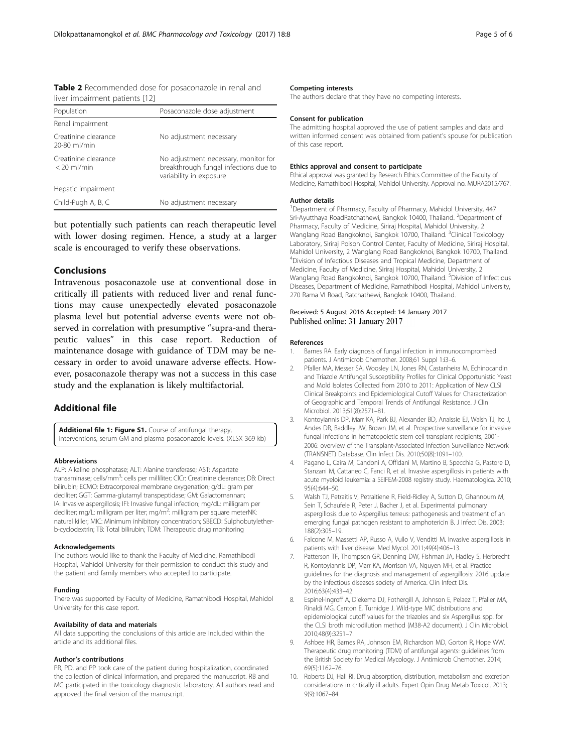<span id="page-4-0"></span>Table 2 Recommended dose for posaconazole in renal and liver impairment patients [\[12\]](#page-5-0)

| Population                            | Posaconazole dose adjustment                                                                             |  |
|---------------------------------------|----------------------------------------------------------------------------------------------------------|--|
| Renal impairment                      |                                                                                                          |  |
| Creatinine clearance<br>20-80 ml/min  | No adjustment necessary                                                                                  |  |
| Creatinine clearance<br>$<$ 20 ml/min | No adjustment necessary, monitor for<br>breakthrough fungal infections due to<br>variability in exposure |  |
| Hepatic impairment                    |                                                                                                          |  |
| Child-Pugh A, B, C                    | No adjustment necessary                                                                                  |  |

but potentially such patients can reach therapeutic level with lower dosing regimen. Hence, a study at a larger scale is encouraged to verify these observations.

## Conclusions

Intravenous posaconazole use at conventional dose in critically ill patients with reduced liver and renal functions may cause unexpectedly elevated posaconazole plasma level but potential adverse events were not observed in correlation with presumptive "supra-and therapeutic values" in this case report. Reduction of maintenance dosage with guidance of TDM may be necessary in order to avoid unaware adverse effects. However, posaconazole therapy was not a success in this case study and the explanation is likely multifactorial.

## Additional file

[Additional file 1: Figure S1.](dx.doi.org/10.1186/s40360-017-0115-z) Course of antifungal therapy, interventions, serum GM and plasma posaconazole levels. (XLSX 369 kb)

#### Abbreviations

ALP: Alkaline phosphatase; ALT: Alanine transferase; AST: Aspartate transaminase; cells/mm<sup>3</sup>: cells per milliliter; CICr: Creatinine clearance; DB: Direct bilirubin; ECMO: Extracorporeal membrane oxygenation; g/dL: gram per deciliter; GGT: Gamma-glutamyl transpeptidase; GM: Galactomannan; IA: Invasive aspergillosis; IFI: Invasive fungal infection; mg/dL: milligram per deciliter; mg/L: milligram per liter; mg/m<sup>2</sup>: milligram per square meterNK: natural killer; MIC: Minimum inhibitory concentration; SBECD: Sulphobutyletherb-cyclodextrin; TB: Total bilirubin; TDM: Therapeutic drug monitoring

#### Acknowledgements

The authors would like to thank the Faculty of Medicine, Ramathibodi Hospital, Mahidol University for their permission to conduct this study and the patient and family members who accepted to participate.

#### Funding

There was supported by Faculty of Medicine, Ramathibodi Hospital, Mahidol University for this case report.

#### Availability of data and materials

All data supporting the conclusions of this article are included within the article and its additional files.

#### Author's contributions

PR, PD, and PP took care of the patient during hospitalization, coordinated the collection of clinical information, and prepared the manuscript. RB and MC participated in the toxicology diagnostic laboratory. All authors read and approved the final version of the manuscript.

#### Competing interests

The authors declare that they have no competing interests.

#### Consent for publication

The admitting hospital approved the use of patient samples and data and written informed consent was obtained from patient's spouse for publication of this case report.

#### Ethics approval and consent to participate

Ethical approval was granted by Research Ethics Committee of the Faculty of Medicine, Ramathibodi Hospital, Mahidol University. Approval no. MURA2015/767.

### Author details

<sup>1</sup>Department of Pharmacy, Faculty of Pharmacy, Mahidol University, 447 Sri-Ayutthaya RoadRatchathewi, Bangkok 10400, Thailand. <sup>2</sup>Department of Pharmacy, Faculty of Medicine, Siriraj Hospital, Mahidol University, 2 Wanglang Road Bangkoknoi, Bangkok 10700, Thailand. <sup>3</sup>Clinical Toxicology Laboratory, Siriraj Poison Control Center, Faculty of Medicine, Siriraj Hospital, Mahidol University, 2 Wanglang Road Bangkoknoi, Bangkok 10700, Thailand. 4 Division of Infectious Diseases and Tropical Medicine, Department of Medicine, Faculty of Medicine, Siriraj Hospital, Mahidol University, 2 Wanglang Road Bangkoknoi, Bangkok 10700, Thailand. <sup>5</sup>Division of Infectious Diseases, Department of Medicine, Ramathibodi Hospital, Mahidol University, 270 Rama VI Road, Ratchathewi, Bangkok 10400, Thailand.

#### Received: 5 August 2016 Accepted: 14 January 2017 Published online: 31 January 2017

#### References

- Barnes RA. Early diagnosis of fungal infection in immunocompromised patients. J Antimicrob Chemother. 2008;61 Suppl 1:i3–6.
- 2. Pfaller MA, Messer SA, Woosley LN, Jones RN, Castanheira M. Echinocandin and Triazole Antifungal Susceptibility Profiles for Clinical Opportunistic Yeast and Mold Isolates Collected from 2010 to 2011: Application of New CLSI Clinical Breakpoints and Epidemiological Cutoff Values for Characterization of Geographic and Temporal Trends of Antifungal Resistance. J Clin Microbiol. 2013;51(8):2571–81.
- 3. Kontoyiannis DP, Marr KA, Park BJ, Alexander BD, Anaissie EJ, Walsh TJ, Ito J, Andes DR, Baddley JW, Brown JM, et al. Prospective surveillance for invasive fungal infections in hematopoietic stem cell transplant recipients, 2001- 2006: overview of the Transplant-Associated Infection Surveillance Network (TRANSNET) Database. Clin Infect Dis. 2010;50(8):1091–100.
- 4. Pagano L, Caira M, Candoni A, Offidani M, Martino B, Specchia G, Pastore D, Stanzani M, Cattaneo C, Fanci R, et al. Invasive aspergillosis in patients with acute myeloid leukemia: a SEIFEM-2008 registry study. Haematologica. 2010; 95(4):644–50.
- 5. Walsh TJ, Petraitis V, Petraitiene R, Field-Ridley A, Sutton D, Ghannoum M, Sein T, Schaufele R, Peter J, Bacher J, et al. Experimental pulmonary aspergillosis due to Aspergillus terreus: pathogenesis and treatment of an emerging fungal pathogen resistant to amphotericin B. J Infect Dis. 2003; 188(2):305–19.
- 6. Falcone M, Massetti AP, Russo A, Vullo V, Venditti M. Invasive aspergillosis in patients with liver disease. Med Mycol. 2011;49(4):406–13.
- 7. Patterson TF, Thompson GR, Denning DW, Fishman JA, Hadley S, Herbrecht R, Kontoyiannis DP, Marr KA, Morrison VA, Nguyen MH, et al. Practice guidelines for the diagnosis and management of aspergillosis: 2016 update by the infectious diseases society of America. Clin Infect Dis. 2016;63(4):433–42.
- 8. Espinel-Ingroff A, Diekema DJ, Fothergill A, Johnson E, Pelaez T, Pfaller MA, Rinaldi MG, Canton E, Turnidge J. Wild-type MIC distributions and epidemiological cutoff values for the triazoles and six Aspergillus spp. for the CLSI broth microdilution method (M38-A2 document). J Clin Microbiol. 2010;48(9):3251–7.
- 9. Ashbee HR, Barnes RA, Johnson EM, Richardson MD, Gorton R, Hope WW. Therapeutic drug monitoring (TDM) of antifungal agents: guidelines from the British Society for Medical Mycology. J Antimicrob Chemother. 2014; 69(5):1162–76.
- 10. Roberts DJ, Hall RI. Drug absorption, distribution, metabolism and excretion considerations in critically ill adults. Expert Opin Drug Metab Toxicol. 2013; 9(9):1067–84.